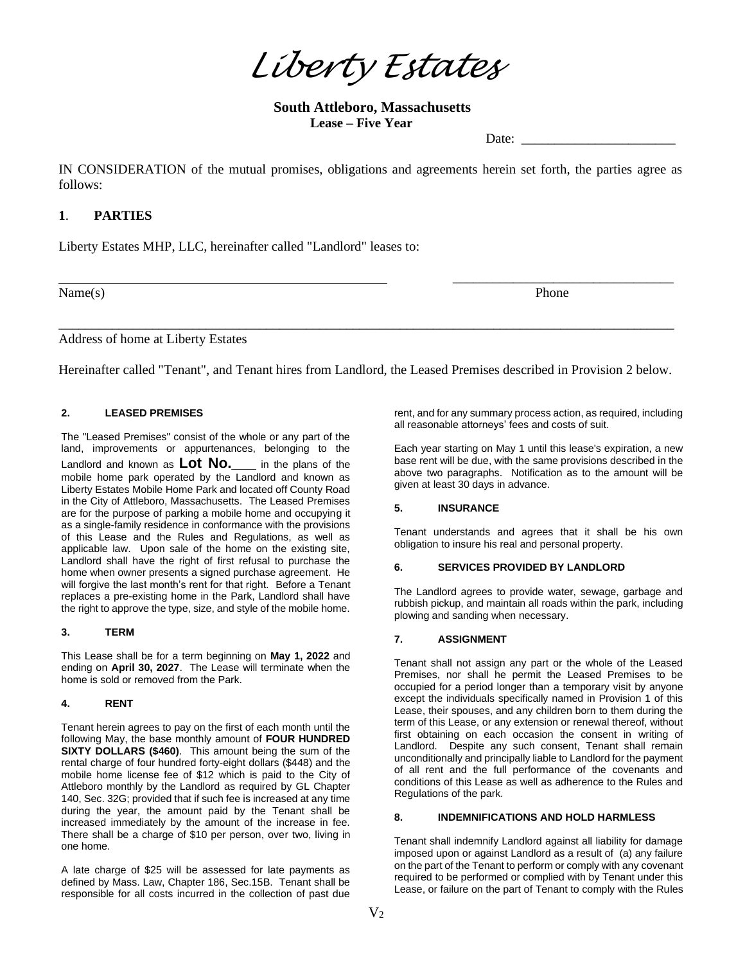*Liberty Estates*

**South Attleboro, Massachusetts Lease – Five Year**

Date:

IN CONSIDERATION of the mutual promises, obligations and agreements herein set forth, the parties agree as follows:

# **1**. **PARTIES**

Liberty Estates MHP, LLC, hereinafter called "Landlord" leases to:

Name(s) Phone

\_\_\_\_\_\_\_\_\_\_\_\_\_\_\_\_\_\_\_\_\_\_\_\_\_\_\_\_\_\_\_\_\_

Address of home at Liberty Estates

Hereinafter called "Tenant", and Tenant hires from Landlord, the Leased Premises described in Provision 2 below.

\_\_\_\_\_\_\_\_\_\_\_\_\_\_\_\_\_\_\_\_\_\_\_\_\_\_\_\_\_\_\_\_\_\_\_\_\_\_\_\_\_\_\_\_\_\_\_\_\_\_\_\_\_\_\_\_\_\_\_\_\_\_\_\_\_\_\_\_\_\_\_\_\_\_\_\_\_\_\_\_\_\_\_\_\_\_\_\_\_\_\_\_

## **2. LEASED PREMISES**

The "Leased Premises" consist of the whole or any part of the land, improvements or appurtenances, belonging to the Landlord and known as **Lot No.** in the plans of the mobile home park operated by the Landlord and known as Liberty Estates Mobile Home Park and located off County Road in the City of Attleboro, Massachusetts. The Leased Premises are for the purpose of parking a mobile home and occupying it as a single-family residence in conformance with the provisions of this Lease and the Rules and Regulations, as well as applicable law. Upon sale of the home on the existing site, Landlord shall have the right of first refusal to purchase the home when owner presents a signed purchase agreement. He will forgive the last month's rent for that right. Before a Tenant replaces a pre-existing home in the Park, Landlord shall have the right to approve the type, size, and style of the mobile home.

## **3. TERM**

This Lease shall be for a term beginning on **May 1, 2022** and ending on **April 30, 2027**. The Lease will terminate when the home is sold or removed from the Park.

#### **4. RENT**

Tenant herein agrees to pay on the first of each month until the following May, the base monthly amount of **FOUR HUNDRED SIXTY DOLLARS (\$460)**. This amount being the sum of the rental charge of four hundred forty-eight dollars (\$448) and the mobile home license fee of \$12 which is paid to the City of Attleboro monthly by the Landlord as required by GL Chapter 140, Sec. 32G; provided that if such fee is increased at any time during the year, the amount paid by the Tenant shall be increased immediately by the amount of the increase in fee. There shall be a charge of \$10 per person, over two, living in one home.

A late charge of \$25 will be assessed for late payments as defined by Mass. Law, Chapter 186, Sec.15B. Tenant shall be responsible for all costs incurred in the collection of past due

rent, and for any summary process action, as required, including all reasonable attorneys' fees and costs of suit.

Each year starting on May 1 until this lease's expiration, a new base rent will be due, with the same provisions described in the above two paragraphs. Notification as to the amount will be given at least 30 days in advance.

### **5. INSURANCE**

Tenant understands and agrees that it shall be his own obligation to insure his real and personal property.

### **6. SERVICES PROVIDED BY LANDLORD**

The Landlord agrees to provide water, sewage, garbage and rubbish pickup, and maintain all roads within the park, including plowing and sanding when necessary.

#### **7. ASSIGNMENT**

Tenant shall not assign any part or the whole of the Leased Premises, nor shall he permit the Leased Premises to be occupied for a period longer than a temporary visit by anyone except the individuals specifically named in Provision 1 of this Lease, their spouses, and any children born to them during the term of this Lease, or any extension or renewal thereof, without first obtaining on each occasion the consent in writing of Landlord. Despite any such consent, Tenant shall remain unconditionally and principally liable to Landlord for the payment of all rent and the full performance of the covenants and conditions of this Lease as well as adherence to the Rules and Regulations of the park.

# **8. INDEMNIFICATIONS AND HOLD HARMLESS**

Tenant shall indemnify Landlord against all liability for damage imposed upon or against Landlord as a result of (a) any failure on the part of the Tenant to perform or comply with any covenant required to be performed or complied with by Tenant under this Lease, or failure on the part of Tenant to comply with the Rules